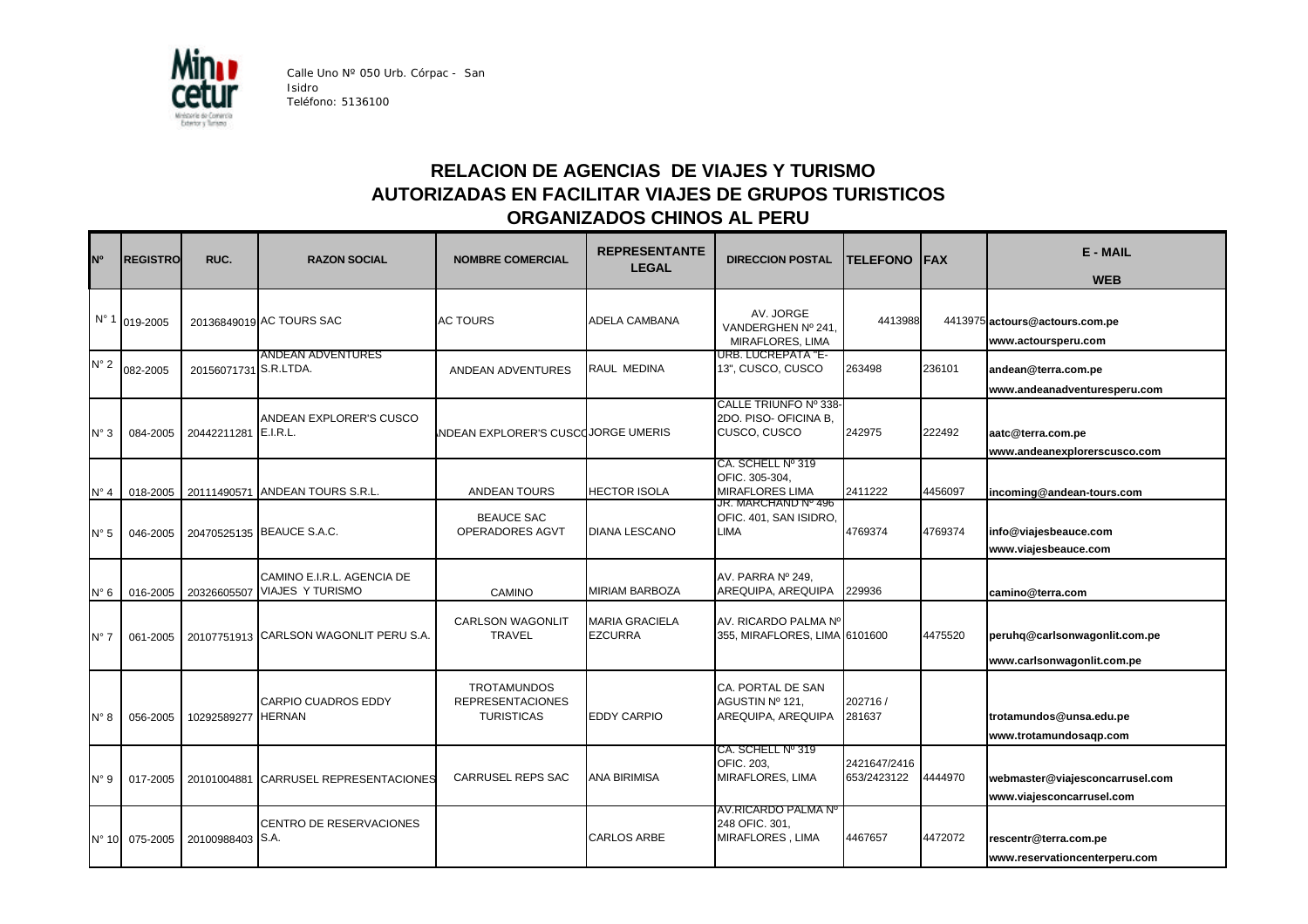

Calle Uno Nº 050 Urb. Córpac - San Isidro Teléfono: 5136100

## **RELACION DE AGENCIAS DE VIAJES Y TURISMO AUTORIZADAS EN FACILITAR VIAJES DE GRUPOS TURISTICOS ORGANIZADOS CHINOS AL PERU**

| N <sup>o</sup> | <b>REGISTRO</b> | RUC.                  | <b>RAZON SOCIAL</b>                                   | <b>NOMBRE COMERCIAL</b>                                            | <b>REPRESENTANTE</b><br><b>LEGAL</b>    | <b>DIRECCION POSTAL</b>                                        | <b>TELEFONO</b>             | <b>FAX</b> | <b>E-MAIL</b><br><b>WEB</b>                                  |
|----------------|-----------------|-----------------------|-------------------------------------------------------|--------------------------------------------------------------------|-----------------------------------------|----------------------------------------------------------------|-----------------------------|------------|--------------------------------------------------------------|
|                | N° 1 019-2005   |                       | 20136849019 AC TOURS SAC                              | <b>AC TOURS</b>                                                    | ADELA CAMBANA                           | AV. JORGE<br>VANDERGHEN Nº 241.<br>MIRAFLORES, LIMA            | 4413988                     |            | 4413975 actours@actours.com.pe<br>www.actoursperu.com        |
| $N^{\circ} 2$  | 082-2005        | 20156071731 S.R.LTDA. | <b>ANDEAN ADVENTURES</b>                              | ANDEAN ADVENTURES                                                  | RAUL MEDINA                             | <b>URB. LUCREPATA "E-</b><br>13", CUSCO, CUSCO                 | 263498                      | 236101     | andean@terra.com.pe<br>www.andeanadventuresperu.com          |
| $N^{\circ}$ 3  | 084-2005        | 20442211281 E.I.R.L.  | ANDEAN EXPLORER'S CUSCO                               | NDEAN EXPLORER'S CUSCOJORGE UMERIS                                 |                                         | CALLE TRIUNFO Nº 338-<br>2DO. PISO- OFICINA B.<br>CUSCO, CUSCO | 242975                      | 222492     | aatc@terra.com.pe<br>www.andeanexplorerscusco.com            |
| $N^{\circ}$ 4  | 018-2005        |                       | 20111490571 ANDEAN TOURS S.R.L.                       | <b>ANDEAN TOURS</b>                                                | <b>HECTOR ISOLA</b>                     | CA. SCHELL Nº 319<br>OFIC. 305-304,<br><b>MIRAFLORES LIMA</b>  | 2411222                     | 4456097    | incoming@andean-tours.com                                    |
| $N^{\circ} 5$  | 046-2005        |                       | 20470525135 BEAUCE S.A.C.                             | <b>BEAUCE SAC</b><br>OPERADORES AGVT                               | <b>DIANA LESCANO</b>                    | JR. MARCHAND Nº 496<br>OFIC. 401, SAN ISIDRO,<br><b>LIMA</b>   | 4769374                     | 4769374    | info@viajesbeauce.com<br>www.viajesbeauce.com                |
| $N^{\circ} 6$  | 016-2005        | 20326605507           | CAMINO E.I.R.L. AGENCIA DE<br><b>VIAJES Y TURISMO</b> | CAMINO                                                             | <b>MIRIAM BARBOZA</b>                   | AV. PARRA Nº 249.<br>AREQUIPA, AREQUIPA                        | 229936                      |            | camino@terra.com                                             |
| $N^{\circ}$ 7  | 061-2005        |                       | 20107751913 CARLSON WAGONLIT PERU S.A.                | <b>CARLSON WAGONLIT</b><br><b>TRAVEL</b>                           | <b>MARIA GRACIELA</b><br><b>EZCURRA</b> | AV. RICARDO PALMA Nº<br>355, MIRAFLORES, LIMA 6101600          |                             | 4475520    | peruhq@carlsonwagonlit.com.pe<br>www.carlsonwagonlit.com.pe  |
| $N^{\circ}$ 8  | 056-2005        | 10292589277           | <b>CARPIO CUADROS EDDY</b><br><b>HERNAN</b>           | <b>TROTAMUNDOS</b><br><b>REPRESENTACIONES</b><br><b>TURISTICAS</b> | <b>EDDY CARPIO</b>                      | CA. PORTAL DE SAN<br>AGUSTIN Nº 121,<br>AREQUIPA, AREQUIPA     | 202716/<br>281637           |            | trotamundos@unsa.edu.pe<br>www.trotamundosaqp.com            |
| $N^{\circ}$ 9  | 017-2005        | 20101004881           | CARRUSEL REPRESENTACIONES                             | <b>CARRUSEL REPS SAC</b>                                           | <b>ANA BIRIMISA</b>                     | CA. SCHELL № 319<br>OFIC. 203,<br>MIRAFLORES, LIMA             | 2421647/2416<br>653/2423122 | 4444970    | webmaster@viajesconcarrusel.com<br>www.viajesconcarrusel.com |
|                | N° 10 075-2005  | 20100988403           | <b>CENTRO DE RESERVACIONES</b><br>S.A.                |                                                                    | <b>CARLOS ARBE</b>                      | AV.RICARDO PALMA Nº<br>248 OFIC. 301,<br>MIRAFLORES, LIMA      | 4467657                     | 4472072    | rescentr@terra.com.pe<br>www.reservationcenterperu.com       |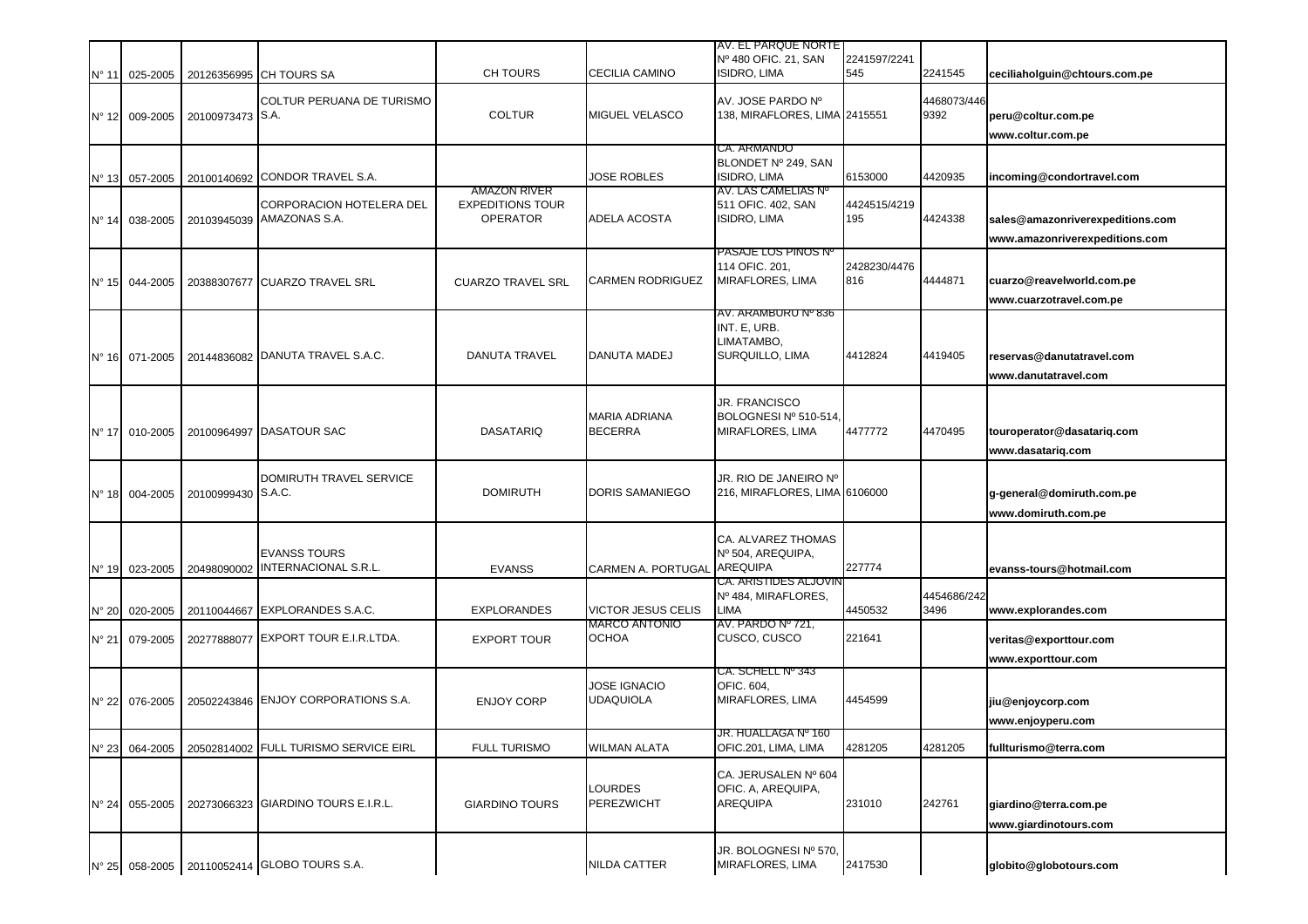|                |                            |                    |                                                    |                                                                   |                                                   | AV. EL PARQUE NORTE<br>Nº 480 OFIC. 21, SAN                          | 2241597/2241        |                     |                                                                    |
|----------------|----------------------------|--------------------|----------------------------------------------------|-------------------------------------------------------------------|---------------------------------------------------|----------------------------------------------------------------------|---------------------|---------------------|--------------------------------------------------------------------|
| $N^{\circ}$ 11 | 025-2005                   |                    | 20126356995 CH TOURS SA                            | CH TOURS                                                          | <b>CECILIA CAMINO</b>                             | <b>ISIDRO, LIMA</b>                                                  | 545                 | 2241545             | ceciliaholguin@chtours.com.pe                                      |
|                | N° 12 009-2005             | 20100973473 S.A.   | <b>COLTUR PERUANA DE TURISMO</b>                   | <b>COLTUR</b>                                                     | <b>MIGUEL VELASCO</b>                             | AV. JOSE PARDO Nº<br>138, MIRAFLORES, LIMA 2415551                   |                     | 4468073/446<br>9392 | peru@coltur.com.pe<br>www.coltur.com.pe                            |
|                |                            |                    |                                                    |                                                                   |                                                   | CA. ARMANDO                                                          |                     |                     |                                                                    |
| $N^{\circ}$ 13 | 057-2005                   | 20100140692        | <b>CONDOR TRAVEL S.A.</b>                          |                                                                   | <b>JOSE ROBLES</b>                                | BLONDET Nº 249, SAN<br><b>ISIDRO, LIMA</b>                           | 6153000             | 4420935             | incoming@condortravel.com                                          |
|                | N° 14 038-2005             | 20103945039        | CORPORACION HOTELERA DEL<br>AMAZONAS S.A.          | <b>AMAZON RIVER</b><br><b>EXPEDITIONS TOUR</b><br><b>OPERATOR</b> | <b>ADELA ACOSTA</b>                               | AV. LAS CAMELIAS Nº<br>511 OFIC. 402, SAN<br>ISIDRO, LIMA            | 4424515/4219<br>195 | 4424338             | sales@amazonriverexpeditions.com<br>www.amazonriverexpeditions.com |
|                | N° 15 044-2005             |                    | 20388307677 CUARZO TRAVEL SRL                      | <b>CUARZO TRAVEL SRL</b>                                          | <b>CARMEN RODRIGUEZ</b>                           | PASAJE LOS PINOS Nº<br>114 OFIC. 201,<br>MIRAFLORES, LIMA            | 2428230/4476<br>816 | 4444871             | cuarzo@reavelworld.com.pe<br>www.cuarzotravel.com.pe               |
|                | N° 16 071-2005             |                    | 20144836082 DANUTA TRAVEL S.A.C.                   | <b>DANUTA TRAVEL</b>                                              | <b>DANUTA MADEJ</b>                               | AV. ARAMBURU Nº 836<br>INT. E, URB.<br>LIMATAMBO,<br>SURQUILLO, LIMA | 4412824             | 4419405             | reservas@danutatravel.com<br>www.danutatravel.com                  |
|                | N° 17 010-2005             | 20100964997        | <b>DASATOUR SAC</b>                                | <b>DASATARIQ</b>                                                  | <b>MARIA ADRIANA</b><br><b>BECERRA</b>            | JR. FRANCISCO<br>BOLOGNESINº 510-514.<br>MIRAFLORES, LIMA            | 4477772             | 4470495             | touroperator@dasatariq.com<br>www.dasatarig.com                    |
|                | N° 18 004-2005             | 20100999430 S.A.C. | DOMIRUTH TRAVEL SERVICE                            | <b>DOMIRUTH</b>                                                   | <b>DORIS SAMANIEGO</b>                            | JR. RIO DE JANEIRO Nº<br>216, MIRAFLORES, LIMA 6106000               |                     |                     | g-general@domiruth.com.pe<br>www.domiruth.com.pe                   |
| $N^{\circ}$ 19 | 023-2005                   | 20498090002        | <b>EVANSS TOURS</b><br><b>INTERNACIONAL S.R.L.</b> | <b>EVANSS</b>                                                     | <b>CARMEN A. PORTUGAL</b>                         | CA. ALVAREZ THOMAS<br>Nº 504, AREQUIPA,<br><b>AREQUIPA</b>           | 227774              |                     | evanss-tours@hotmail.com                                           |
|                |                            |                    |                                                    |                                                                   |                                                   | CA. ARISTIDES ALJOVIN<br>Nº 484, MIRAFLORES,                         |                     | 4454686/242         |                                                                    |
| $N^{\circ}$ 20 | 020-2005                   | 20110044667        | <b>EXPLORANDES S.A.C.</b>                          | <b>EXPLORANDES</b>                                                | <b>VICTOR JESUS CELIS</b><br><b>MARCO ANTONIO</b> | <b>LIMA</b><br>AV. PARDO Nº 721,                                     | 4450532             | 3496                | www.explorandes.com                                                |
| $N^{\circ}$ 21 | 079-2005                   | 20277888077        | EXPORT TOUR E.I.R.LTDA.                            | <b>EXPORT TOUR</b>                                                | <b>OCHOA</b>                                      | CUSCO, CUSCO                                                         | 221641              |                     | veritas@exporttour.com<br>www.exporttour.com                       |
|                | N° 22 076-2005             |                    | 20502243846 ENJOY CORPORATIONS S.A.                | <b>ENJOY CORP</b>                                                 | <b>JOSE IGNACIO</b><br><b>UDAQUIOLA</b>           | CA. SCHELL Nº 343<br>OFIC. 604,<br>MIRAFLORES, LIMA                  | 4454599             |                     | jiu@enjoycorp.com<br>www.enjoyperu.com                             |
|                |                            |                    | 20502814002 FULL TURISMO SERVICE EIRL              | <b>FULL TURISMO</b>                                               | <b>WILMAN ALATA</b>                               | JR. HUALLAGA № 160<br>OFIC.201, LIMA, LIMA                           | 4281205             | 4281205             | fullturismo@terra.com                                              |
| $N^{\circ} 24$ | Nº 23 064-2005<br>055-2005 |                    | 20273066323 GIARDINO TOURS E.I.R.L.                | <b>GIARDINO TOURS</b>                                             | <b>LOURDES</b><br><b>PEREZWICHT</b>               | CA. JERUSALEN Nº 604<br>OFIC. A, AREQUIPA,<br><b>AREQUIPA</b>        | 231010              | 242761              | giardino@terra.com.pe<br>www.giardinotours.com                     |
|                |                            |                    | Nº 25 058-2005 20110052414 GLOBO TOURS S.A.        |                                                                   | <b>NILDA CATTER</b>                               | JR. BOLOGNESI Nº 570,<br>MIRAFLORES, LIMA                            | 2417530             |                     | globito@globotours.com                                             |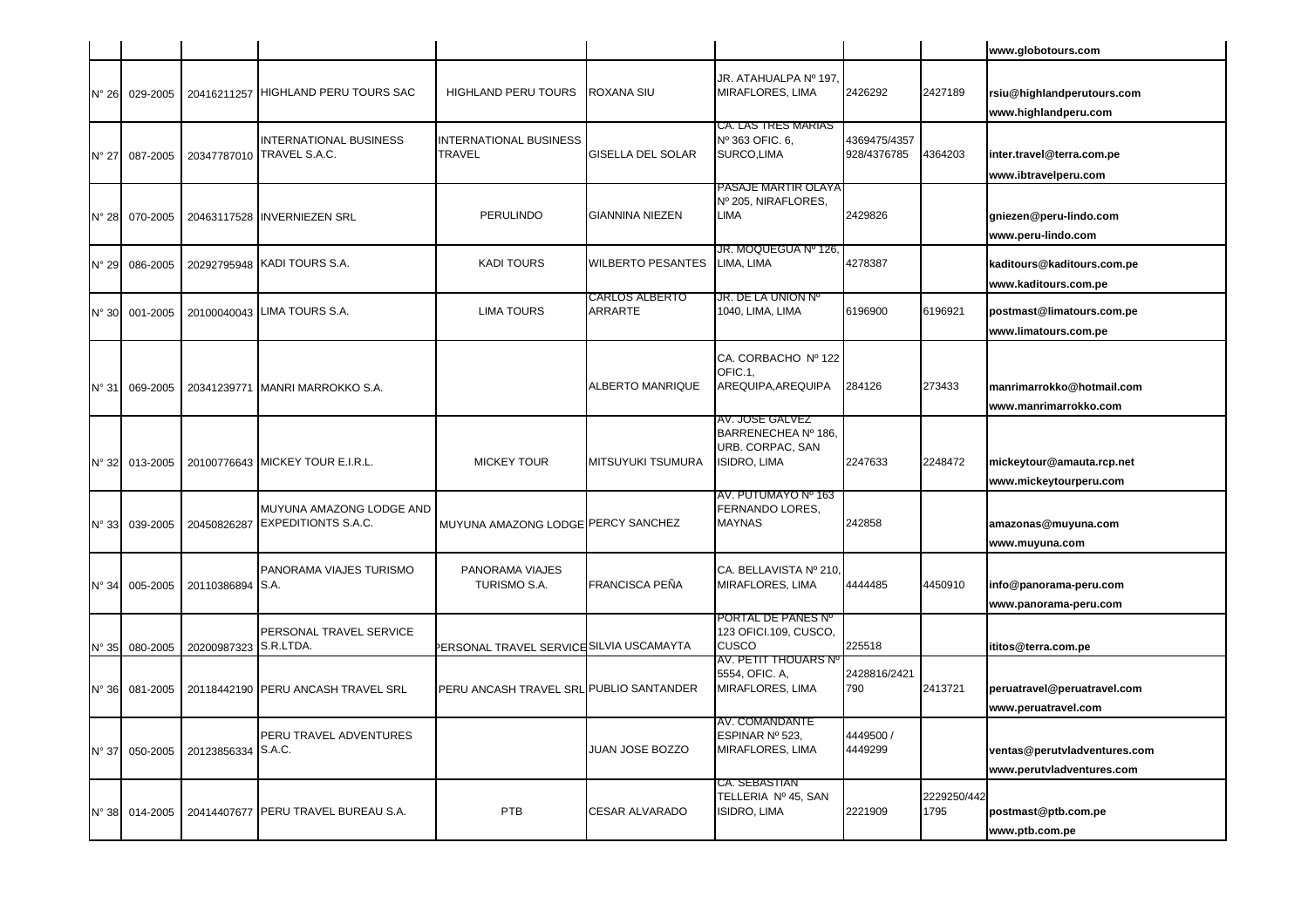|                |                |                       |                                                            |                                                |                           |                                                                            |                             |                     | www.globotours.com                                        |
|----------------|----------------|-----------------------|------------------------------------------------------------|------------------------------------------------|---------------------------|----------------------------------------------------------------------------|-----------------------------|---------------------|-----------------------------------------------------------|
| $N^{\circ} 26$ | 029-2005       |                       | 20416211257 HIGHLAND PERU TOURS SAC                        | <b>HIGHLAND PERU TOURS</b>                     | ROXANA SIU                | JR. ATAHUALPA Nº 197.<br>MIRAFLORES, LIMA                                  | 2426292                     | 2427189             | rsiu@highlandperutours.com<br>www.highlandperu.com        |
| $N^{\circ}$ 27 | 087-2005       |                       | <b>INTERNATIONAL BUSINESS</b><br>20347787010 TRAVEL S.A.C. | <b>INTERNATIONAL BUSINESS</b><br><b>TRAVEL</b> | <b>GISELLA DEL SOLAR</b>  | CA. LAS TRES MARIAS<br>Nº 363 OFIC. 6,<br>SURCO,LIMA                       | 4369475/4357<br>928/4376785 | 4364203             | inter.travel@terra.com.pe<br>www.ibtravelperu.com         |
| $N^{\circ} 28$ | 070-2005       |                       | 20463117528 INVERNIEZEN SRL                                | PERULINDO                                      | <b>GIANNINA NIEZEN</b>    | PASAJE MARTIR OLAYA<br>Nº 205, NIRAFLORES,<br>LIMA                         | 2429826                     |                     | gniezen@peru-lindo.com<br>www.peru-lindo.com              |
| $N^{\circ}$ 29 | 086-2005       |                       | 20292795948 KADI TOURS S.A.                                | <b>KADI TOURS</b>                              | <b>WILBERTO PESANTES</b>  | JR. MOQUEGUA № 126.<br>LIMA, LIMA                                          | 4278387                     |                     | kaditours@kaditours.com.pe<br>www.kaditours.com.pe        |
| $N^{\circ}$ 30 | 001-2005       |                       | 20100040043 LIMA TOURS S.A.                                | <b>LIMA TOURS</b>                              | CARLOS ALBERTO<br>ARRARTE | JR. DE LA UNION Nº<br>1040, LIMA, LIMA                                     | 6196900                     | 6196921             | postmast@limatours.com.pe<br>www.limatours.com.pe         |
| $N^{\circ}$ 31 | 069-2005       |                       | 20341239771 MANRI MARROKKO S.A.                            |                                                | ALBERTO MANRIQUE          | CA. CORBACHO Nº 122<br>OFIC.1,<br>AREQUIPA, AREQUIPA                       | 284126                      | 273433              | manrimarrokko@hotmail.com<br>www.manrimarrokko.com        |
| $N^{\circ}$ 32 | 013-2005       |                       | 20100776643 MICKEY TOUR E.I.R.L.                           | <b>MICKEY TOUR</b>                             | <b>MITSUYUKI TSUMURA</b>  | AV. JOSE GALVEZ<br>BARRENECHEA Nº 186,<br>URB. CORPAC, SAN<br>ISIDRO, LIMA | 2247633                     | 2248472             | mickeytour@amauta.rcp.net<br>www.mickeytourperu.com       |
| $N^{\circ}$ 33 | 039-2005       | 20450826287           | MUYUNA AMAZONG LODGE AND<br><b>EXPEDITIONTS S.A.C.</b>     | MUYUNA AMAZONG LODGE PERCY SANCHEZ             |                           | AV. PUTUMAYO Nº 163<br>FERNANDO LORES,<br><b>MAYNAS</b>                    | 242858                      |                     | amazonas@muyuna.com<br>www.muyuna.com                     |
| $N^{\circ}$ 34 | 005-2005       | 20110386894 S.A.      | PANORAMA VIAJES TURISMO                                    | PANORAMA VIAJES<br>TURISMO S.A.                | FRANCISCA PEÑA            | CA. BELLAVISTA Nº 210,<br>MIRAFLORES, LIMA                                 | 4444485                     | 4450910             | info@panorama-peru.com<br>www.panorama-peru.com           |
| $N^{\circ}$ 35 | 080-2005       | 20200987323 S.R.LTDA. | PERSONAL TRAVEL SERVICE                                    | PERSONAL TRAVEL SERVICE SILVIA USCAMAYTA       |                           | PORTAL DE PANES Nº<br>123 OFICI.109, CUSCO,<br>CUSCO                       | 225518                      |                     | ititos@terra.com.pe                                       |
| $N^{\circ}$ 36 | 081-2005       |                       | 20118442190 PERU ANCASH TRAVEL SRL                         | PERU ANCASH TRAVEL SRL PUBLIO SANTANDER        |                           | AV. PETIT THOUARS Nº<br>5554, OFIC. A,<br>MIRAFLORES, LIMA                 | 2428816/2421<br>790         | 2413721             | peruatravel@peruatravel.com<br>www.peruatravel.com        |
| $N^{\circ}$ 37 | 050-2005       | 20123856334           | PERU TRAVEL ADVENTURES<br>S.A.C.                           |                                                | JUAN JOSE BOZZO           | AV. COMANDANTE<br>ESPINAR Nº 523,<br>MIRAFLORES, LIMA                      | 4449500 /<br>4449299        |                     | ventas@perutvladventures.com<br>www.perutvladventures.com |
|                | N° 38 014-2005 |                       | 20414407677 PERU TRAVEL BUREAU S.A.                        | PTB                                            | <b>CESAR ALVARADO</b>     | CA. SEBASTIAN<br>TELLERIA Nº 45, SAN<br>isidro, lima                       | 2221909                     | 2229250/442<br>1795 | postmast@ptb.com.pe<br>www.ptb.com.pe                     |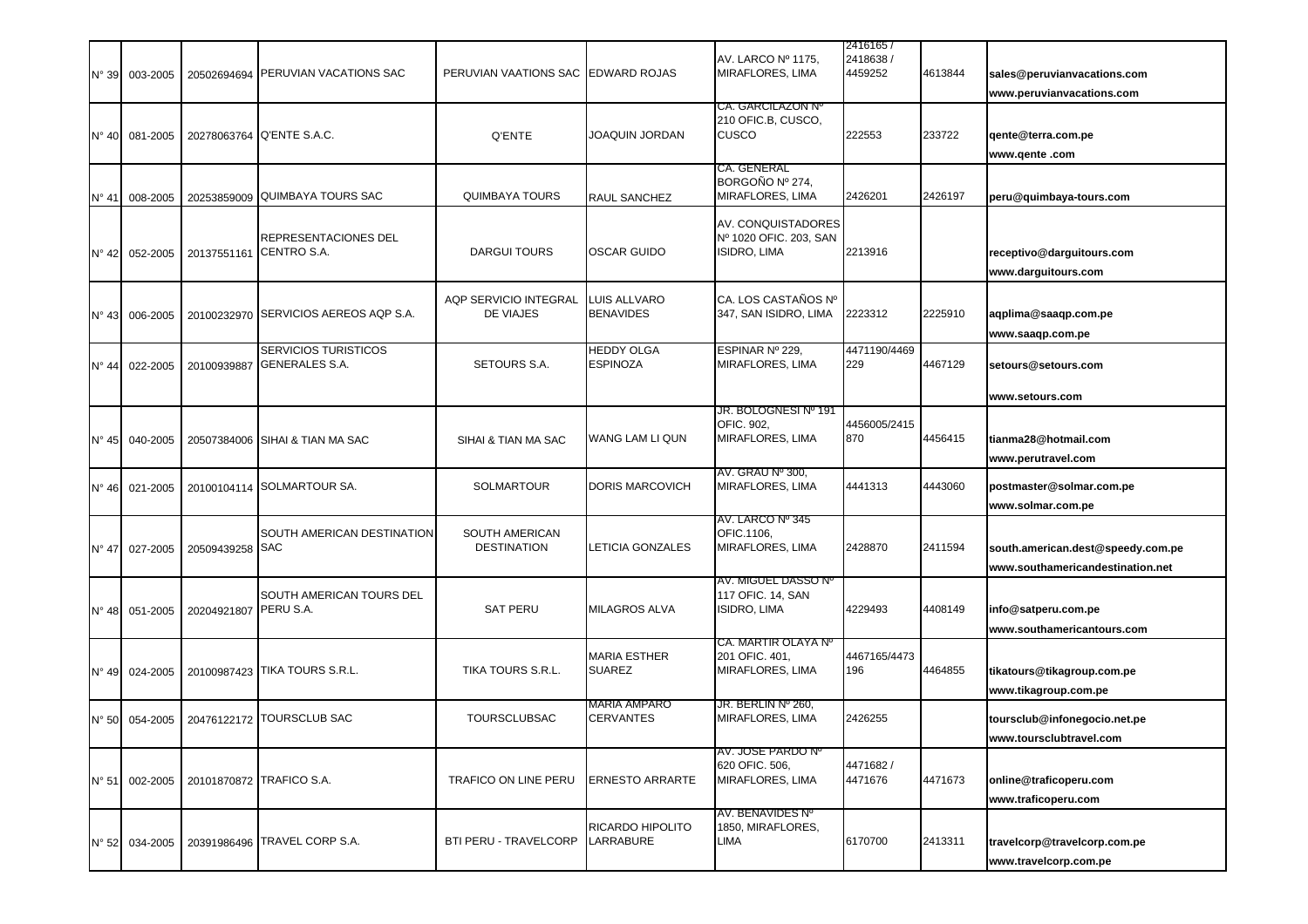|                | N° 39 003-2005          |             | 20502694694 PERUVIAN VACATIONS SAC                   | PERUVIAN VAATIONS SAC EDWARD ROJAS   |                                         | AV. LARCO Nº 1175,<br>MIRAFLORES, LIMA                               | 24161657<br>2418638 /<br>4459252 | 4613844 | sales@peruvianvacations.com<br>www.peruvianvacations.com              |
|----------------|-------------------------|-------------|------------------------------------------------------|--------------------------------------|-----------------------------------------|----------------------------------------------------------------------|----------------------------------|---------|-----------------------------------------------------------------------|
|                | N° 40 081-2005          | 20278063764 | Q'ENTE S.A.C.                                        | Q'ENTE                               | JOAQUIN JORDAN                          | <b>CA. GARCILAZON Nº</b><br>210 OFIC.B, CUSCO,<br>CUSCO              | 222553                           | 233722  | gente@terra.com.pe<br>www.qente.com                                   |
| N° 41          | 008-2005                | 20253859009 | <b>QUIMBAYA TOURS SAC</b>                            | <b>QUIMBAYA TOURS</b>                | <b>RAUL SANCHEZ</b>                     | CA. GENERAL<br>BORGOÑO Nº 274.<br>MIRAFLORES, LIMA                   | 2426201                          | 2426197 | peru@quimbaya-tours.com                                               |
| N° 42          | 052-2005                | 20137551161 | REPRESENTACIONES DEL<br>CENTRO S.A.                  | <b>DARGUI TOURS</b>                  | <b>OSCAR GUIDO</b>                      | AV. CONQUISTADORES<br>Nº 1020 OFIC. 203, SAN<br><b>ISIDRO, LIMA</b>  | 2213916                          |         | receptivo@darguitours.com<br>www.darguitours.com                      |
|                | Nº 43 006-2005          | 20100232970 | SERVICIOS AEREOS AQP S.A.                            | AQP SERVICIO INTEGRAL<br>DE VIAJES   | <b>LUIS ALLVARO</b><br><b>BENAVIDES</b> | CA. LOS CASTAÑOS Nº<br>347, SAN ISIDRO, LIMA                         | 2223312                          | 2225910 | aqplima@saaqp.com.pe<br>www.saaqp.com.pe                              |
| $N^{\circ}$ 44 | 022-2005                | 20100939887 | <b>SERVICIOS TURISTICOS</b><br><b>GENERALES S.A.</b> | SETOURS S.A.                         | <b>HEDDY OLGA</b><br><b>ESPINOZA</b>    | ESPINAR Nº 229,<br>MIRAFLORES, LIMA                                  | 4471190/4469<br>229              | 4467129 | setours@setours.com                                                   |
| N° 45          | 040-2005                |             | 20507384006 SIHAI & TIAN MA SAC                      | SIHAI & TIAN MA SAC                  | WANG LAM LI QUN                         | <b>JR. BOLOGNESI Nº 191</b><br><b>OFIC, 902.</b><br>MIRAFLORES, LIMA | 4456005/2415<br>870              | 4456415 | www.setours.com<br>tianma28@hotmail.com<br>www.perutravel.com         |
| $N^{\circ}$ 46 | 021-2005                |             | 20100104114 SOLMARTOUR SA.                           | <b>SOLMARTOUR</b>                    | <b>DORIS MARCOVICH</b>                  | AV. GRAU Nº 300,<br>MIRAFLORES, LIMA                                 | 4441313                          | 4443060 | postmaster@solmar.com.pe<br>www.solmar.com.pe                         |
| $N^{\circ}$ 47 | 027-2005                | 20509439258 | SOUTH AMERICAN DESTINATION<br><b>SAC</b>             | SOUTH AMERICAN<br><b>DESTINATION</b> | <b>LETICIA GONZALES</b>                 | AV. LARCO Nº 345<br>OFIC.1106,<br>MIRAFLORES, LIMA                   | 2428870                          | 2411594 | south.american.dest@speedy.com.pe<br>www.southamericandestination.net |
|                | N° 48 051-2005          | 20204921807 | SOUTH AMERICAN TOURS DEL<br>PERU S.A.                | <b>SAT PERU</b>                      | <b>MILAGROS ALVA</b>                    | AV. MIGUEL DASSO Nº<br>117 OFIC. 14, SAN<br><b>ISIDRO, LIMA</b>      | 4229493                          | 4408149 | info@satperu.com.pe<br>www.southamericantours.com                     |
|                | N° 49 024-2005          |             | 20100987423 TIKA TOURS S.R.L.                        | <b>TIKA TOURS S.R.L.</b>             | <b>MARIA ESTHER</b><br><b>SUAREZ</b>    | CA. MARTIR OLAYA Nº<br>201 OFIC. 401<br>MIRAFLORES, LIMA             | 4467165/4473<br>196              | 4464855 | tikatours@tikagroup.com.pe<br>www.tikagroup.com.pe                    |
| $N^{\circ}$ 50 | 054-2005                |             | 20476122172 TOURSCLUB SAC                            | <b>TOURSCLUBSAC</b>                  | <b>MARIA AMPARO</b><br><b>CERVANTES</b> | JR. BERLIN Nº 260,<br>MIRAFLORES, LIMA                               | 2426255                          |         | toursclub@infonegocio.net.pe<br>www.toursclubtravel.com               |
|                | $N^{\circ} 51$ 002-2005 |             | 20101870872 TRAFICO S.A.                             | <b>TRAFICO ON LINE PERU</b>          | <b>ERNESTO ARRARTE</b>                  | AV. JOSE PARDO Nº<br>620 OFIC. 506,<br>MIRAFLORES, LIMA              | 4471682/<br>4471676              | 4471673 | online@traficoperu.com<br>www.traficoperu.com                         |
|                | N° 52 034-2005          |             | 20391986496 TRAVEL CORP S.A.                         | <b>BTI PERU - TRAVELCORP</b>         | <b>RICARDO HIPOLITO</b><br>LARRABURE    | AV. BENAVIDES Nº<br>1850, MIRAFLORES,<br>LIMA                        | 6170700                          | 2413311 | travelcorp@travelcorp.com.pe<br>www.travelcorp.com.pe                 |